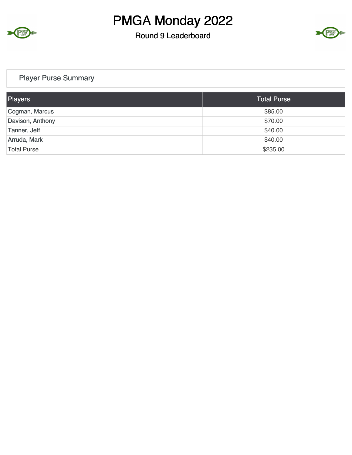

#### Round 9 Leaderboard



#### Player Purse Summary

| Players            | <b>Total Purse</b> |
|--------------------|--------------------|
| Cogman, Marcus     | \$85.00            |
| Davison, Anthony   | \$70.00            |
| Tanner, Jeff       | \$40.00            |
| Arruda, Mark       | \$40.00            |
| <b>Total Purse</b> | \$235.00           |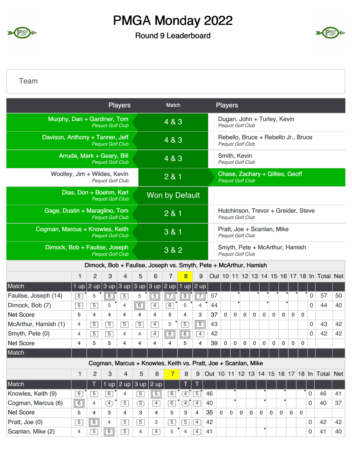

#### Round 9 Leaderboard



#### Team

|                                 |                            |                |                         | <b>Players</b>          |                             |                                                                  | Match            |                |                |                         |              | <b>Players</b>                      |                                  |             |                                     |              |              |             |              |             |                                             |    |
|---------------------------------|----------------------------|----------------|-------------------------|-------------------------|-----------------------------|------------------------------------------------------------------|------------------|----------------|----------------|-------------------------|--------------|-------------------------------------|----------------------------------|-------------|-------------------------------------|--------------|--------------|-------------|--------------|-------------|---------------------------------------------|----|
| Murphy, Dan + Gardiner, Tom     |                            |                | <b>Pequot Golf Club</b> |                         |                             |                                                                  | 4 & 3            |                |                |                         |              |                                     | Pequot Golf Club                 |             | Dugan, John + Turley, Kevin         |              |              |             |              |             |                                             |    |
| Davison, Anthony + Tanner, Jeff |                            |                | <b>Pequot Golf Club</b> |                         |                             |                                                                  | 4 & 3            |                |                |                         |              |                                     | <b>Pequot Golf Club</b>          |             | Rebello, Bruce + Rebello Jr., Bruce |              |              |             |              |             |                                             |    |
|                                 | Arruda, Mark + Geary, Bill |                | <b>Pequot Golf Club</b> |                         |                             |                                                                  | 4 & 3            |                |                |                         |              |                                     | Smith, Kevin<br>Pequot Golf Club |             |                                     |              |              |             |              |             |                                             |    |
| Woolley, Jim + Wildes, Kevin    |                            |                | <b>Pequot Golf Club</b> |                         |                             |                                                                  | 2 & 1            |                |                |                         |              |                                     | <b>Pequot Golf Club</b>          |             | Chase, Zachary + Gillies, Geoff     |              |              |             |              |             |                                             |    |
|                                 | Dias, Don + Boehm, Karl    |                | <b>Pequot Golf Club</b> |                         |                             | <b>Won by Default</b>                                            |                  |                |                |                         |              |                                     |                                  |             |                                     |              |              |             |              |             |                                             |    |
| Gage, Dustin + Maraglino, Tom   |                            |                | <b>Pequot Golf Club</b> |                         |                             |                                                                  |                  |                |                | <b>Pequot Golf Club</b> |              | Hutchinson, Trevor + Greider, Steve |                                  |             |                                     |              |              |             |              |             |                                             |    |
| Cogman, Marcus + Knowles, Keith |                            |                | <b>Pequot Golf Club</b> |                         |                             |                                                                  |                  |                |                | Pequot Golf Club        |              | Pratt, Joe + Scanlan, Mike          |                                  |             |                                     |              |              |             |              |             |                                             |    |
| Dimock, Bob + Faulise, Joseph   |                            |                | <b>Pequot Golf Club</b> |                         |                             |                                                                  | 3&82             |                |                |                         |              |                                     | <b>Pequot Golf Club</b>          |             | Smyth, Pete + McArthur, Hamish      |              |              |             |              |             |                                             |    |
|                                 |                            |                |                         |                         |                             | Dimock, Bob + Faulise, Joseph vs. Smyth, Pete + McArthur, Hamish |                  |                |                |                         |              |                                     |                                  |             |                                     |              |              |             |              |             |                                             |    |
|                                 | $\mathbf{1}$               | $\overline{2}$ | 3                       | 4                       | 5                           | 6                                                                | 7                |                | 9              |                         |              |                                     |                                  |             |                                     |              |              |             |              |             | Out 10 11 12 13 14 15 16 17 18 In Total Net |    |
| Match                           |                            | 1 up $ 2$ up   |                         |                         | $ 3$ up $ 3$ up $ 3$ up $ $ | 3 up                                                             | $ 2 \text{ up} $ |                | $1$ up $2$ up  |                         |              |                                     |                                  |             |                                     |              |              |             |              |             |                                             |    |
| Faulise, Joseph (14)            | 6                          | 5              | $\overline{8}$          | $\overline{5}$          | 5                           | $\overline{5}$                                                   | $\overline{7}$   | $\overline{9}$ | $\overline{7}$ | 57                      |              |                                     |                                  |             |                                     |              |              |             |              | 0           | 57                                          | 50 |
| Dimock, Bob (7)                 | $\overline{5}$             | $\overline{5}$ | 5                       | 4                       | $\sqrt{6}$                  | $\overline{4}$                                                   | $\overline{6}$   | 5              | $\overline{4}$ | 44                      |              |                                     | ٠                                |             |                                     |              |              |             |              | 0           | 44                                          | 40 |
| <b>Net Score</b>                | 5                          | 4              | 4                       | 4                       | 4                           | 4                                                                | 5                | 4              | 3              | 37                      | $\mathbf 0$  | $\mathbf 0$                         | $\mathbf 0$                      | $\mathbf 0$ | $\mathbf 0$                         | $\mathbf 0$  | $\mathbf 0$  | $\mathbf 0$ | $\mathbf 0$  |             |                                             |    |
| McArthur, Hamish (1)            | 4                          | $\overline{5}$ | $\overline{5}$          | $\overline{5}$          | $\overline{5}$              | $\overline{4}$                                                   | 5                | $\overline{5}$ | $\overline{5}$ | 43                      |              |                                     |                                  |             |                                     |              |              |             |              | 0           | 43                                          | 42 |
| Smyth, Pete (0)                 | 4                          | $\overline{5}$ | $\overline{5}$          | 4                       | 4                           | $\overline{4}$                                                   | 6                | 6              | $\overline{4}$ | 42                      |              |                                     |                                  |             |                                     |              |              |             |              | 0           | 42                                          | 42 |
| <b>Net Score</b>                | 4                          | 5              | 5                       | 4                       | 4                           | 4                                                                | 4                | 5              | 4              | 39                      | 0            | 0                                   | 0                                | 0           | $\mathbf 0$                         | 0            | $\mathbf{0}$ | 0           | 0            |             |                                             |    |
| Match                           |                            |                |                         |                         |                             |                                                                  |                  |                |                |                         |              |                                     |                                  |             |                                     |              |              |             |              |             |                                             |    |
|                                 |                            |                |                         |                         |                             | Cogman, Marcus + Knowles, Keith vs. Pratt, Joe + Scanlan, Mike   |                  |                |                |                         |              |                                     |                                  |             |                                     |              |              |             |              |             |                                             |    |
|                                 | $\mathbf{1}$               | $\overline{2}$ | 3                       | $\overline{\mathbf{4}}$ | 5                           | 6                                                                | $\overline{7}$   | 8              | 9              |                         |              |                                     |                                  |             |                                     |              |              |             |              |             | Out 10 11 12 13 14 15 16 17 18 In Total Net |    |
| Match                           |                            | T              |                         |                         |                             | 1 up $\sqrt{2}$ up $\sqrt{3}$ up $\sqrt{2}$ up                   |                  |                | Т              |                         |              |                                     |                                  |             |                                     |              |              |             |              |             |                                             |    |
| Knowles, Keith (9)              | 6                          | $\overline{5}$ | $\boxed{6}$             | 4                       | $\overline{5}$              | $\overline{5}$                                                   | 6                | $\circled{4}$  | $\boxed{5}$    | 46                      |              |                                     |                                  |             |                                     |              |              |             |              | $\mathbf 0$ | 46                                          | 41 |
| Cogman, Marcus (6)              | $\boxed{6}$                | $\overline{4}$ | $\circled{4}$           | $\overline{5}$          | $\circled{3}$               | $\overline{4}$                                                   | 6                | $\circled{4}$  | $\boxed{4}$    | 40                      |              |                                     |                                  |             |                                     |              |              |             |              | 0           | 40                                          | 37 |
| <b>Net Score</b>                | 5                          | 4              | 3                       | $\overline{4}$          | 3                           | $\overline{4}$                                                   | 5                | 3              | $\overline{4}$ | 35                      | $\mathbf{0}$ | $\mathbf 0$                         | $\mathbf 0$                      | $\mathbf 0$ | $\mathbf 0$                         | $\mathbf{0}$ | $\mathbf{0}$ | $\mathbf 0$ | $\mathbf{0}$ |             |                                             |    |
| Pratt, Joe (0)                  | $\overline{5}$             | $\boxed{6}$    | 4                       | $\sqrt{5}$              | $\overline{5}$              | 3                                                                | $\overline{5}$   | $\boxed{5}$    | $\boxed{4}$    | 42                      |              |                                     |                                  |             |                                     |              |              |             |              | 0           | 42                                          | 42 |
| Scanlan, Mike (2)               | 4                          | $\overline{5}$ | $\overline{6}$          | $\boxed{5}$             | 4                           | $\overline{4}$                                                   | 5                | $\overline{4}$ | $\boxed{4}$    | 41                      |              |                                     |                                  |             | ٠                                   |              |              |             |              | 0           | 41                                          | 40 |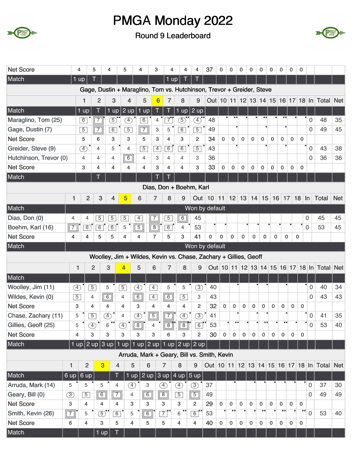



| <b>Net Score</b>                 | 4                            | 5              | 4                           |                  | 5                       | 4                                                                              | 3              | 4                 | 4                         | 4                             | 37                                                    | 0           | 0                             | 0           | 0           | 0                 | 0            | 0                 | 0            | 0                |                     |                                                                     |            |
|----------------------------------|------------------------------|----------------|-----------------------------|------------------|-------------------------|--------------------------------------------------------------------------------|----------------|-------------------|---------------------------|-------------------------------|-------------------------------------------------------|-------------|-------------------------------|-------------|-------------|-------------------|--------------|-------------------|--------------|------------------|---------------------|---------------------------------------------------------------------|------------|
| Match                            | $1 \overline{up}$            | Τ              |                             |                  |                         |                                                                                |                | $1$ up            |                           |                               |                                                       |             |                               |             |             |                   |              |                   |              |                  |                     |                                                                     |            |
|                                  |                              |                |                             |                  |                         | Gage, Dustin + Maraglino, Tom vs. Hutchinson, Trevor + Greider, Steve          |                |                   |                           |                               |                                                       |             |                               |             |             |                   |              |                   |              |                  |                     |                                                                     |            |
|                                  | 1                            |                | $\overline{2}$              | 3                | $\overline{4}$          | 5                                                                              | 6              | 7                 | 8                         | 9                             |                                                       |             |                               |             |             |                   |              |                   |              |                  |                     | Out   10   11   12   13   14   15   16   17   18   In   Total   Net |            |
| Match                            | $1$ up                       |                | T                           | $1$ up           | $2$ up   1 up           |                                                                                | Τ              | T                 |                           | 1 up $ 2$ up                  |                                                       |             |                               |             |             |                   |              |                   |              |                  |                     |                                                                     |            |
| Maraglino, Tom (25)              | $\overline{6}$               |                | $\overline{7}$              | 5)               | $\circledA$             | 6                                                                              | 4              | $\overline{7}$    | 5)                        | $\mathbf{A}^{\bullet\bullet}$ | 48                                                    |             | $\bullet\bullet$              |             |             |                   |              |                   |              |                  | $\mathbf 0$         | 48                                                                  | 35         |
| Gage, Dustin (7)                 | $\overline{5}$               |                | $\overline{7}$              | 6                | $\overline{5}$          | $\boxed{7}$                                                                    | 3              | 5                 | $\overline{6}$            | $\overline{5}$                | 49                                                    |             |                               |             |             |                   |              |                   |              |                  | $\mathbf 0$         | 49                                                                  | 45         |
| <b>Net Score</b>                 | 5                            |                | 6                           | 3                | 3                       | 5                                                                              | 3              | 4                 | 3                         | $\overline{c}$                | 34                                                    | $\mathbf 0$ | $\mathbf 0$                   | $\mathbf 0$ | $\mathbf 0$ | $\mathbf 0$       | $\mathbf 0$  | $\mathbf{0}$      | $\mathbf 0$  | $\mathbf 0$      |                     |                                                                     |            |
| Greider, Steve (9)               | $\left( \overline{4}\right)$ |                | $\overline{4}$              | 5                | $\overline{4}$          | $\overline{5}$                                                                 | $\overline{4}$ | 6                 | 6                         | $\overline{5}$                | 43                                                    |             |                               |             |             |                   |              |                   |              |                  | $\mathbf 0$         | 43                                                                  | 38         |
| Hutchinson, Trevor (0)           | 4                            |                | $\overline{4}$              | 4                | 6                       | $\overline{4}$                                                                 | 3              | $\overline{4}$    | $\overline{4}$            | 3                             | 36                                                    |             |                               |             |             |                   |              |                   |              |                  | $\mathbf 0$         | 36                                                                  | 36         |
| <b>Net Score</b>                 | 3                            |                | 4                           | 4                | 4                       | 4                                                                              | 3              | 4                 | 4                         | 3                             | 33                                                    | $\mathbf 0$ | 0                             | 0           | $\bf{0}$    | 0                 | 0            | $\mathbf 0$       | $\mathbf 0$  | $\mathbf 0$      |                     |                                                                     |            |
| Match                            |                              |                |                             |                  |                         |                                                                                |                |                   |                           |                               |                                                       |             |                               |             |             |                   |              |                   |              |                  |                     |                                                                     |            |
|                                  |                              |                |                             |                  |                         |                                                                                |                |                   |                           | Dias, Don + Boehm, Karl       |                                                       |             |                               |             |             |                   |              |                   |              |                  |                     |                                                                     |            |
|                                  | 1                            | $\overline{2}$ | 3                           | 4                | 5                       | 6                                                                              | 7              | 8                 | 9                         |                               | Out   10   11   12   13   14   15   16   17   18   ln |             |                               |             |             |                   |              |                   |              |                  |                     | Total                                                               | <b>Net</b> |
| Match                            |                              |                |                             |                  |                         |                                                                                |                |                   |                           | Won by default                |                                                       |             |                               |             |             |                   |              |                   |              |                  |                     |                                                                     |            |
| Dias, Don (0)<br>4               |                              | 4              | $\overline{5}$              | $\overline{5}$   | $\overline{5}$          | $\overline{4}$                                                                 | $\overline{7}$ | $\overline{5}$    | $\overline{6}$            | 45                            |                                                       |             |                               |             |             |                   |              |                   |              |                  | 0                   | 45                                                                  | 45         |
| $\boxed{7}$<br>Boehm, Karl (16)  |                              | $\overline{6}$ | 6                           | 6                | 5                       | $\overline{5}$                                                                 | $\boxed{8}$    | 6                 | $\overline{4}$            | 53                            |                                                       |             |                               |             |             |                   |              |                   |              |                  | $\mathbf 0$         | 53                                                                  | 45         |
| <b>Net Score</b><br>4            |                              | 4              | 5                           | 5                | $\overline{4}$          | 4                                                                              | $\overline{7}$ | 5                 | 3                         | 41                            | $\mathbf{0}$                                          | $\mathbf 0$ | $\mathbf 0$                   | $\mathbf 0$ | 0           | $\mathbf 0$       | 0            |                   | $\mathbf 0$  | 0                |                     |                                                                     |            |
| Match                            |                              |                |                             |                  |                         |                                                                                |                |                   |                           | Won by default                |                                                       |             |                               |             |             |                   |              |                   |              |                  |                     |                                                                     |            |
|                                  |                              |                |                             |                  |                         | Woolley, Jim + Wildes, Kevin vs. Chase, Zachary + Gillies, Geoff               |                |                   |                           |                               |                                                       |             |                               |             |             |                   |              |                   |              |                  |                     |                                                                     |            |
|                                  | 1                            | $\overline{2}$ | 3                           |                  | $\overline{\mathbf{4}}$ | 5                                                                              | 6              | 7                 | 8                         | 9                             |                                                       |             |                               |             |             |                   |              |                   |              |                  |                     | Out 10 11 12 13 14 15 16 17 18 In Total                             | <b>Net</b> |
| Match                            |                              |                |                             |                  |                         |                                                                                |                |                   |                           |                               |                                                       |             |                               |             |             |                   |              |                   |              |                  |                     |                                                                     |            |
| Woolley, Jim (11)                | $\circled{4}$                | $\overline{5}$ | 5                           |                  | $\overline{5}$          | $\circled{4}$                                                                  | $\overline{4}$ | 5                 | 5                         | $\circled{3}$                 | 40                                                    |             |                               |             |             |                   |              |                   |              |                  | $\mathbf 0$         | 40                                                                  | 34         |
| Wildes, Kevin (0)                | $\overline{5}$               | 4              | $\boxed{6}$                 |                  | $\overline{4}$          | $\sqrt{6}$                                                                     | $\overline{4}$ | $\boxed{6}$       | $\overline{5}$            | 3                             | 43                                                    |             |                               |             |             |                   |              |                   |              |                  | $\Omega$            | 43                                                                  | 43         |
| <b>Net Score</b>                 | 3                            | 4              | 4                           |                  | 4                       | 3                                                                              | $\overline{4}$ | 4                 | $\overline{4}$            | $\overline{c}$                | 32                                                    | $\pmb{0}$   | $\mathbf 0$                   | 0           | 0           | 0                 | $\mathbf 0$  | 0                 | $\bf{0}$     | $\mathbf 0$      |                     |                                                                     |            |
| Chase, Zachary (11)              | 5                            | $\overline{5}$ | ④                           |                  | 4                       | Œ                                                                              | $\overline{5}$ | 7                 | $\boxed{4}$               | $\circled{3}$                 | 41                                                    |             |                               |             |             |                   |              |                   |              |                  | $\mathbf 0$         | 41                                                                  | 35         |
| Gillies, Geoff (25)              | ٠<br>5                       | $\overline{4}$ | $\bullet$<br>6              | $\bullet\bullet$ | $\overline{4}$          | $\sqrt{8}$                                                                     | ٠<br>4         | -∎•<br>$\sqrt{8}$ | 70<br>$\boxed{8}$         | -,•<br>$\overline{6}$         | 53                                                    |             | $\bullet$<br>$\bullet\bullet$ |             |             | $\bullet \bullet$ | $\bullet$    | $\bullet \bullet$ |              | ٠<br>$\bullet$   | 0                   | 53                                                                  | 40         |
| <b>Net Score</b>                 | 4                            | 3              | 3                           |                  | 3                       | 3                                                                              | 3              | 6                 | 3                         | $\overline{2}$                | 30                                                    | $\mathbf 0$ | $\mathbf 0$                   | $\mathbf 0$ | $\Omega$    | $\mathbf 0$       | 0            | $\mathbf 0$       | $\mathbf{0}$ | $\Omega$         |                     |                                                                     |            |
| Match                            |                              |                | 1 up $ 2$ up $ 3$ up $ $    |                  |                         | $\mid$ 1 up $\mid$ 1 up $\mid$ 2 up $\mid$ 1 up $\mid$ 2 up $\mid$ 2 up $\mid$ |                |                   |                           |                               |                                                       |             |                               |             |             |                   |              |                   |              |                  |                     |                                                                     |            |
|                                  |                              |                |                             |                  |                         | Arruda, Mark + Geary, Bill vs. Smith, Kevin                                    |                |                   |                           |                               |                                                       |             |                               |             |             |                   |              |                   |              |                  |                     |                                                                     |            |
| 1                                |                              | $\overline{2}$ | $\overline{3}$              | $\overline{4}$   | 5                       | 6                                                                              | 7              |                   | 8                         | 9                             |                                                       |             |                               |             |             |                   |              |                   |              |                  |                     | Out 10 11 12 13 14 15 16 17 18 In Total Net                         |            |
| Match<br>6 up                    |                              | 6 up           |                             | Τ                | $1$ up                  |                                                                                | $2$ up $3$ up  |                   | $4$ up $\overline{)5}$ up |                               |                                                       |             |                               |             |             |                   |              |                   |              |                  |                     |                                                                     |            |
| Arruda, Mark (14)<br>5           |                              | 5              | 5                           | $\overline{4}$   | $\circledA$             | 3                                                                              | $\circled{4}$  |                   | $\circled{4}$             | $\circled{3}$                 | 37                                                    |             |                               |             |             |                   |              |                   |              |                  | 0                   | 37                                                                  | 30         |
| Geary, Bill (0)<br>$\circled{3}$ |                              | $\overline{5}$ | $\sqrt{6}$                  | $\boxed{7}$      | 4                       | $\boxed{6}$                                                                    | $\boxed{8}$    |                   | $\overline{5}$            | $\boxed{5}$                   | 49                                                    |             |                               |             |             |                   |              |                   |              |                  | 0                   | 49                                                                  | 49         |
| <b>Net Score</b><br>3            |                              | 4              | 4                           | 4                | 3                       | 3                                                                              | 3              |                   | 3                         | $\overline{2}$                | 29                                                    | 0           | $\mathbf{0}$                  | $\Omega$    | $\mathbf 0$ | $\mathbf 0$       | $\mathbf{0}$ | $\Omega$          | $\mathbf{0}$ | $\mathbf{0}$     |                     |                                                                     |            |
|                                  |                              |                |                             |                  |                         |                                                                                |                |                   |                           |                               |                                                       |             |                               |             |             |                   |              |                   |              |                  |                     |                                                                     |            |
| $\boxed{7}$<br>Smith, Kevin (26) |                              | 5              | $\overline{5}$ <sup>*</sup> | $\boxed{6}$      | 5                       | $\overline{6}$                                                                 | $\overline{7}$ |                   | 6                         | 6                             | 53                                                    |             |                               |             |             |                   |              |                   |              | $\bullet\bullet$ | $\mathsf{O}\xspace$ | 53                                                                  | 40         |
| <b>Net Score</b><br>6            |                              | 4              | 3                           | 5                | $\overline{4}$          | 5                                                                              | 5              |                   | $\overline{4}$            | 4                             | 40                                                    | 0           | $\mathbf 0$                   | $\mathbf 0$ | 0           | 0                 | 0            | $\mathbf 0$       | 0            | $\mathbf 0$      |                     |                                                                     |            |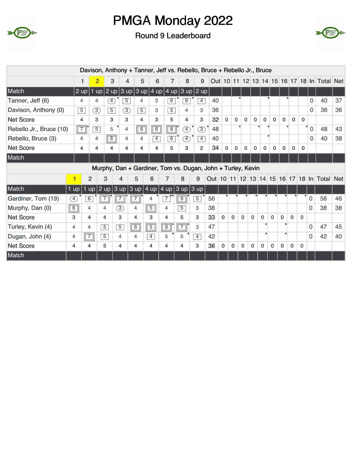



|                         |                   |                | Davison, Anthony + Tanner, Jeff vs. Rebello, Bruce + Rebello Jr., Bruce |                |                |                |                                                  |                |                |                |    |              |              |              |              |             |              |              |              |              |             |                                             |    |
|-------------------------|-------------------|----------------|-------------------------------------------------------------------------|----------------|----------------|----------------|--------------------------------------------------|----------------|----------------|----------------|----|--------------|--------------|--------------|--------------|-------------|--------------|--------------|--------------|--------------|-------------|---------------------------------------------|----|
|                         |                   | 1              | $\overline{2}$                                                          | 3              | 4              | 5              | 6                                                | 7              | 8              | 9              |    |              |              |              |              |             |              |              |              |              |             | Out 10 11 12 13 14 15 16 17 18 In Total Net |    |
| Match                   | $2$ up            |                | $1 \overline{up}$                                                       |                |                |                | $2$ up $3$ up $3$ up $4$ up $4$ up $3$ up $2$ up |                |                |                |    |              |              |              |              |             |              |              |              |              |             |                                             |    |
| Tanner, Jeff (6)        | 4                 |                | 4                                                                       | $\boxed{4}$    | $\overline{5}$ | 4              | 3                                                | $\overline{6}$ | $\overline{6}$ | $\overline{4}$ | 40 |              | ٠            |              |              |             |              |              |              |              | 0           | 40                                          | 37 |
| Davison, Anthony (0)    | $\overline{5}$    |                | 3)                                                                      | $\overline{5}$ | $\circled{3}$  | $\overline{5}$ | 3                                                | $\overline{5}$ | 4              | 3              | 36 |              |              |              |              |             |              |              |              |              | 0           | 36                                          | 36 |
| <b>Net Score</b>        | 4                 |                | 3                                                                       | 3              | 3              | 4              | 3                                                | 5              | 4              | 3              | 32 | $\mathbf{0}$ | $\mathbf{0}$ | $\mathbf{0}$ | $\mathbf 0$  | $\mathbf 0$ | $\mathbf 0$  | $\mathbf{0}$ | $\mathbf{0}$ | $\mathbf{0}$ |             |                                             |    |
| Rebello Jr., Bruce (10) | $\boxed{7}$       |                | $\overline{5}$                                                          | 5              | $\overline{4}$ | $\boxed{6}$    | $\overline{6}$                                   | $\boxed{8}$    | Ŧ)             | 3)             | 48 |              |              |              |              |             |              |              |              |              | $\mathbf 0$ | 48                                          | 43 |
| Rebello, Bruce (3)      | $\overline{4}$    |                | 4                                                                       | 6              | 4              | 4              | $\overline{4}$                                   | 6              | Ð              | $\overline{4}$ | 40 |              |              |              |              |             |              |              |              |              | 0           | 40                                          | 38 |
| <b>Net Score</b>        | 4                 |                | 4                                                                       | 4              | 4              | 4              | 4                                                | 5              | 3              | $\overline{2}$ | 34 | $\mathbf{0}$ | $\mathbf{0}$ | $\mathbf 0$  | $\mathbf{0}$ | $\mathbf 0$ | $\mathbf 0$  | $\mathbf 0$  | $\mathbf 0$  | $\mathbf{0}$ |             |                                             |    |
| Match                   |                   |                |                                                                         |                |                |                |                                                  |                |                |                |    |              |              |              |              |             |              |              |              |              |             |                                             |    |
|                         |                   |                |                                                                         |                |                |                |                                                  |                |                |                |    |              |              |              |              |             |              |              |              |              |             |                                             |    |
|                         |                   |                | Murphy, Dan + Gardiner, Tom vs. Dugan, John + Turley, Kevin             |                |                |                |                                                  |                |                |                |    |              |              |              |              |             |              |              |              |              |             |                                             |    |
|                         | 1                 | $\overline{2}$ | 3                                                                       | $\overline{4}$ |                | 5              | 6                                                | 7              | 8              | 9              |    |              |              |              |              |             |              |              |              |              |             | Out 10 11 12 13 14 15 16 17 18 In Total Net |    |
| Match                   | $1$ up            |                | 1 up 2 up 3 up 3 up 4 up 4 up 3 up 3 up 3 up                            |                |                |                |                                                  |                |                |                |    |              |              |              |              |             |              |              |              |              |             |                                             |    |
| Gardiner, Tom (19)      | $\left( 4\right)$ | $\overline{6}$ |                                                                         |                | $\overline{7}$ |                | 4                                                | 7              | $\overline{9}$ | $\overline{5}$ | 56 |              |              |              |              |             |              |              |              |              | 0           | 56                                          | 46 |
| Murphy, Dan (0)         | $\boxed{6}$       | 4              | 4                                                                       | 3)             | 4              |                | $\boxed{5}$                                      | 4              | $\overline{5}$ | 3              | 38 |              |              |              |              |             |              |              |              |              | $\Omega$    | 38                                          | 38 |
| <b>Net Score</b>        | 3                 | 4              | 4                                                                       | 3              | $\overline{4}$ |                | 3                                                | 4              | 5              | 3              | 33 | $\mathbf{0}$ | $\mathbf{0}$ | $\mathbf 0$  | $\mathbf{0}$ | $\mathbf 0$ | $\mathbf{0}$ | $\mathbf{0}$ | $\mathbf{0}$ | $\Omega$     |             |                                             |    |
| Turley, Kevin (4)       | 4                 | 4              | $\overline{5}$                                                          | $\overline{5}$ |                | 6              | $\boxed{5}$                                      | $\overline{8}$ | $\overline{7}$ | 3              | 47 |              |              |              |              |             |              |              |              |              | 0           | 47                                          | 45 |
| Dugan, John (4)         | 4                 | $\sqrt{7}$     | $\overline{5}$                                                          | 4              | $\overline{4}$ |                | $\overline{4}$                                   | 5              | 5              | $\overline{4}$ | 42 |              |              |              |              |             |              |              |              |              | $\Omega$    | 42                                          | 40 |
| <b>Net Score</b>        | 4                 | 4              | 5                                                                       | 4              |                | 4              | 4                                                | 4              | 4              | 3              | 36 | $\mathbf 0$  | $\mathbf{0}$ | $\mathbf 0$  | $\mathbf 0$  | $\mathbf 0$ | 0            | 0            | $\mathbf 0$  | $\mathbf{0}$ |             |                                             |    |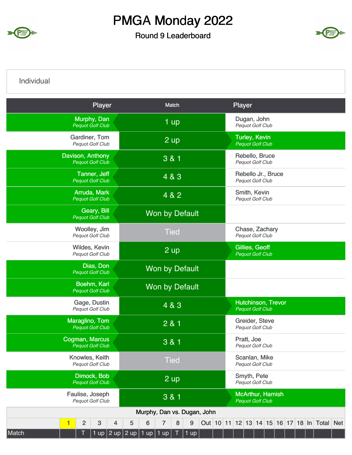

#### Round 9 Leaderboard



Individual

| Player                                      | Match                                 | Player                                                              |
|---------------------------------------------|---------------------------------------|---------------------------------------------------------------------|
| Murphy, Dan<br><b>Pequot Golf Club</b>      | 1 up                                  | Dugan, John<br>Pequot Golf Club                                     |
| Gardiner, Tom<br>Pequot Golf Club           | $2 \text{ up}$                        | <b>Turley, Kevin</b><br><b>Pequot Golf Club</b>                     |
| Davison, Anthony<br><b>Pequot Golf Club</b> | 3 & 1                                 | Rebello, Bruce<br>Pequot Golf Club                                  |
| Tanner, Jeff<br><b>Pequot Golf Club</b>     | 4 & 3                                 | Rebello Jr., Bruce<br>Pequot Golf Club                              |
| Arruda, Mark<br><b>Pequot Golf Club</b>     | 4 & 2                                 | Smith, Kevin<br><b>Pequot Golf Club</b>                             |
| Geary, Bill<br><b>Pequot Golf Club</b>      | Won by Default                        |                                                                     |
| Woolley, Jim<br>Pequot Golf Club            | <b>Tied</b>                           | Chase, Zachary<br>Pequot Golf Club                                  |
| Wildes, Kevin<br>Pequot Golf Club           | 2 up                                  | Gillies, Geoff<br><b>Pequot Golf Club</b>                           |
| Dias, Don<br><b>Pequot Golf Club</b>        | <b>Won by Default</b>                 |                                                                     |
| Boehm, Karl<br><b>Pequot Golf Club</b>      | Won by Default                        |                                                                     |
| Gage, Dustin<br>Pequot Golf Club            | 4 & 3                                 | Hutchinson, Trevor<br><b>Pequot Golf Club</b>                       |
| Maraglino, Tom<br><b>Pequot Golf Club</b>   | 281                                   | Greider, Steve<br>Pequot Golf Club                                  |
| Cogman, Marcus<br><b>Pequot Golf Club</b>   | 3 & 1                                 | Pratt, Joe<br>Pequot Golf Club                                      |
| Knowles, Keith<br>Pequot Golf Club          | <b>Tied</b>                           | Scanlan, Mike<br>Pequot Golf Club                                   |
| Dimock, Bob<br><b>Pequot Golf Club</b>      | 2 up                                  | Smyth, Pete<br>Pequot Golf Club                                     |
| Faulise, Joseph<br>Pequot Golf Club         | 3 & 1                                 | <b>McArthur, Hamish</b><br><b>Pequot Golf Club</b>                  |
|                                             | Murphy, Dan vs. Dugan, John           |                                                                     |
| $\overline{2}$<br>$\sqrt{3}$<br>1<br>4      | 6<br>$\bf 8$<br>5<br>9<br>7           | Out   10   11   12   13   14   15   16   17   18   In   Total   Net |
| 1 up $ 2$ up $ 2$ up $ $<br>Match           | $1$ up $\vert$<br>1 up<br>T<br>$1$ up |                                                                     |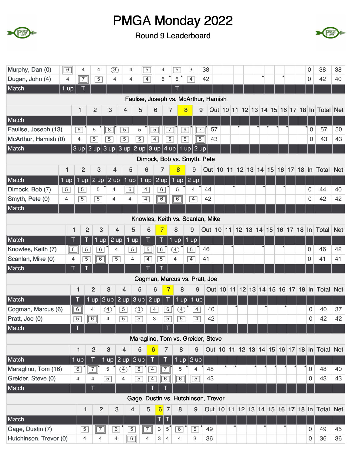



| Murphy, Dan (0)<br>$\boxed{6}$    |                 | 4              | 4              | $\circled{3}$     | 4                                    | $\boxed{5}$                          | 4                          | $\overline{5}$ | 3                            | 38                |    |  |           |  |  | 0                   | 38                                          | 38 |
|-----------------------------------|-----------------|----------------|----------------|-------------------|--------------------------------------|--------------------------------------|----------------------------|----------------|------------------------------|-------------------|----|--|-----------|--|--|---------------------|---------------------------------------------|----|
| Dugan, John (4)<br>4              |                 | $\overline{7}$ | $\overline{5}$ | 4                 | $\overline{4}$                       | $\overline{4}$                       | 5                          | 5              | $\overline{4}$               | 42                |    |  | $\bullet$ |  |  | 0                   | 42                                          | 40 |
| Match<br>1 up                     |                 |                |                |                   |                                      |                                      |                            |                |                              |                   |    |  |           |  |  |                     |                                             |    |
|                                   |                 |                |                |                   |                                      | Faulise, Joseph vs. McArthur, Hamish |                            |                |                              |                   |    |  |           |  |  |                     |                                             |    |
|                                   | 1               |                | $\overline{2}$ | 3                 | 4                                    | 5                                    | 6                          | $\overline{7}$ | $\overline{\mathbf{8}}$      | 9                 |    |  |           |  |  |                     | Out 10 11 12 13 14 15 16 17 18 In Total Net |    |
| Match                             |                 |                |                |                   |                                      |                                      |                            |                |                              |                   |    |  |           |  |  |                     |                                             |    |
| Faulise, Joseph (13)              | 6               | 5              |                | $\overline{8}$    | $\overline{5}$                       | 5                                    | $\overline{5}$             | $\overline{7}$ | $\overline{9}$<br>$\sqrt{7}$ |                   | 57 |  |           |  |  | $\mathbf 0$         | 57                                          | 50 |
| McArthur, Hamish (0)              | 4               | $\overline{5}$ |                | $\overline{5}$    | $\overline{5}$                       | $\overline{5}$                       | $\overline{4}$             | $\overline{5}$ | $\overline{5}$               | $\overline{5}$    | 43 |  |           |  |  | $\mathbf 0$         | 43                                          | 43 |
| Match                             |                 |                |                |                   | 3 up $ 2$ up $ 3$ up $ 3$ up $ 2$ up |                                      | $ 3$ up $ 4$ up $ $        |                | $ 1 \text{ up} $             | $2 \overline{up}$ |    |  |           |  |  |                     |                                             |    |
|                                   |                 |                |                |                   |                                      | Dimock, Bob vs. Smyth, Pete          |                            |                |                              |                   |    |  |           |  |  |                     |                                             |    |
| 1                                 |                 | $\overline{2}$ | 3              | $\overline{4}$    | 5                                    | 6                                    | $\overline{7}$             | 8              | 9                            | <b>Out</b> 10     |    |  |           |  |  |                     | 11 12 13 14 15 16 17 18 In Total Net        |    |
| Match<br>$1$ up                   | 1 up            |                | $2 \text{ up}$ | $2 \overline{up}$ | $1$ up                               | $1$ up                               | $2 \text{ up}$             | $1$ up         | $2 \overline{up}$            |                   |    |  |           |  |  |                     |                                             |    |
| Dimock, Bob (7)<br>$\overline{5}$ | $\overline{5}$  |                | 5              | 4                 | $\boxed{6}$                          | $\overline{4}$                       | $\overline{6}$             | 5              | $\overline{4}$               | 44                |    |  |           |  |  | 0                   | 44                                          | 40 |
| Smyth, Pete (0)<br>4              | $\overline{5}$  |                | $\overline{5}$ | 4                 | 4                                    | $\overline{4}$                       | $\overline{6}$             | $\boxed{6}$    | $\overline{4}$               | 42                |    |  |           |  |  | $\mathbf 0$         | 42                                          | 42 |
| Match                             |                 |                |                |                   |                                      |                                      |                            |                |                              |                   |    |  |           |  |  |                     |                                             |    |
|                                   |                 |                |                |                   |                                      | Knowles, Keith vs. Scanlan, Mike     |                            |                |                              |                   |    |  |           |  |  |                     |                                             |    |
|                                   | 1               | $\overline{2}$ | 3              | 4                 | 5                                    | 6                                    | 7                          | 8              | 9                            | Out 10 11         |    |  |           |  |  |                     | 12 13 14 15 16 17 18 In Total Net           |    |
| Match                             |                 |                | $1 \text{ up}$ | $2 \text{ up}$    | $1$ up                               |                                      | T                          | $1$ up         | $1$ up                       |                   |    |  |           |  |  |                     |                                             |    |
| Knowles, Keith (7)                | $\boxed{6}$     | $\overline{5}$ | $\overline{6}$ | 4                 | $\overline{5}$                       | $\overline{5}$                       | 6                          | Ð              | $\overline{5}$               | 46                |    |  |           |  |  | 0                   | 46                                          | 42 |
| Scanlan, Mike (0)                 | 4               | $\overline{5}$ | $\overline{6}$ | $\overline{5}$    | 4                                    | $\overline{4}$                       | $\overline{5}$             | 4              | $\overline{4}$               | 41                |    |  |           |  |  | $\mathbf 0$         | 41                                          | 41 |
| Match                             | Т               |                |                |                   |                                      |                                      |                            |                |                              |                   |    |  |           |  |  |                     |                                             |    |
|                                   |                 |                |                |                   |                                      | Cogman, Marcus vs. Pratt, Joe        |                            |                |                              |                   |    |  |           |  |  |                     |                                             |    |
|                                   | 1               | $\overline{2}$ |                | 3                 | 4                                    | 5                                    | 6                          | 8              | 9                            |                   |    |  |           |  |  |                     | Out 10 11 12 13 14 15 16 17 18 In Total Net |    |
| Match                             |                 | 1 up           | 2 up           |                   | $2 \text{ up}$                       | 2 up<br>3 up                         | Τ                          | 1 up           | $1$ up                       |                   |    |  |           |  |  |                     |                                             |    |
| Cogman, Marcus (6)                | $\boxed{6}$     | 4              |                | Ð                 | $\overline{5}$                       | $\circled{3}$                        | 6<br>$\overline{4}$        | Œ              | $\overline{4}$               | 40                |    |  |           |  |  | 0                   | 40                                          | 37 |
| Pratt, Joe (0)                    | $\sqrt{5}$<br>一 | $\boxed{6}$    | $\overline{4}$ |                   | $\overline{5}$                       | $\overline{5}$                       | 3<br>$\overline{5}$        | $\overline{5}$ | $\overline{4}$               | 42                |    |  |           |  |  | 0                   | 42                                          | 42 |
| Match                             |                 |                |                |                   |                                      |                                      | T                          |                |                              |                   |    |  |           |  |  |                     |                                             |    |
|                                   |                 |                |                |                   |                                      | Maraglino, Tom vs. Greider, Steve    |                            |                |                              |                   |    |  |           |  |  |                     |                                             |    |
|                                   | 1               | $\overline{2}$ |                | 3                 | $\overline{4}$                       | 5<br>$6\phantom{1}6$                 | 7                          | 8              | 9                            |                   |    |  |           |  |  |                     | Out 10 11 12 13 14 15 16 17 18 In Total Net |    |
| Match                             | 1 up            |                | 1 up           |                   | $2$ up                               | $2$ up<br>Τ                          | Ū                          | $1$ up         | $2$ up                       |                   |    |  |           |  |  |                     |                                             |    |
| Maraglino, Tom (16)               | 6               | $\boxed{7}$    | 5              |                   | $\circled{4}$                        | $\boxed{6}$<br>$\sqrt{4}$            | $\overline{7}$             | 5              | $\overline{4}$               | 48                |    |  |           |  |  | $\mathbf 0$         | 48                                          | 40 |
| Greider, Steve (0)                | 4               | 4              |                | $\overline{5}$    | 4                                    | $\overline{5}$<br>$\sqrt{4}$         | $\overline{6}$             | $\boxed{6}$    | $\sqrt{5}$                   | 43                |    |  |           |  |  | $\mathbf 0$         | 43                                          | 43 |
| Match                             |                 |                |                |                   |                                      |                                      |                            |                |                              |                   |    |  |           |  |  |                     |                                             |    |
|                                   |                 |                |                |                   |                                      | Gage, Dustin vs. Hutchinson, Trevor  |                            |                |                              |                   |    |  |           |  |  |                     |                                             |    |
|                                   |                 | 1              | $\overline{2}$ | 3                 | 4                                    | $\sqrt{5}$                           | $6 \mid$<br>$\overline{7}$ | 8              | 9                            |                   |    |  |           |  |  |                     | Out 10 11 12 13 14 15 16 17 18 In Total Net |    |
| Match                             |                 |                |                |                   |                                      |                                      | $\mathsf T$<br>T           |                |                              |                   |    |  |           |  |  |                     |                                             |    |
| Gage, Dustin (7)                  |                 | $\overline{5}$ | $\sqrt{7}$     | $\overline{6}$    | $\overline{5}$                       | $\sqrt{7}$                           | 3<br>$5^{\circ}$           | $\overline{6}$ | $\overline{5}$               | 49                |    |  |           |  |  | 0                   | 49                                          | 45 |
| Hutchinson, Trevor (0)            |                 | $\overline{4}$ | 4              | $\overline{4}$    | $\overline{6}$                       | $\overline{4}$                       | 3<br>$\overline{4}$        | 4              | 3                            | 36                |    |  |           |  |  | $\mathsf{O}\xspace$ | 36                                          | 36 |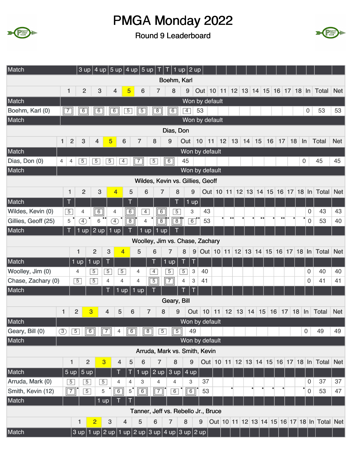



| Match                             | $3$ up              |                |                                  | 4 up $ 5$ up $ 4$ up $ 5$ up $ $                               |                | $\top$           | $\boxed{\top}$ 1 up $\boxed{2}$ up        |                     |                                                       |                  |                                   |                  |                  |    |           |                  |                                                                     |            |
|-----------------------------------|---------------------|----------------|----------------------------------|----------------------------------------------------------------|----------------|------------------|-------------------------------------------|---------------------|-------------------------------------------------------|------------------|-----------------------------------|------------------|------------------|----|-----------|------------------|---------------------------------------------------------------------|------------|
|                                   |                     |                |                                  |                                                                |                |                  | Boehm, Karl                               |                     |                                                       |                  |                                   |                  |                  |    |           |                  |                                                                     |            |
|                                   | $\overline{2}$<br>1 | $\mathbf{3}$   | $\overline{4}$                   | 5                                                              | 6              | 7                | 8                                         | 9                   | Out   10   11   12   13   14   15   16   17   18   In |                  |                                   |                  |                  |    |           |                  | Total                                                               | <b>Net</b> |
| Match                             |                     |                |                                  |                                                                |                |                  |                                           | Won by default      |                                                       |                  |                                   |                  |                  |    |           |                  |                                                                     |            |
| Boehm, Karl (0)<br>$\overline{7}$ | 6                   | $\boxed{6}$    | 6                                | $\overline{5}$                                                 | $\sqrt{5}$     | 8                | $\overline{6}$                            | $\overline{4}$      | 53                                                    |                  |                                   |                  |                  |    |           | $\boldsymbol{0}$ | 53                                                                  | 53         |
| Match                             |                     |                |                                  |                                                                |                |                  |                                           | Won by default      |                                                       |                  |                                   |                  |                  |    |           |                  |                                                                     |            |
|                                   |                     |                |                                  |                                                                |                |                  | Dias, Don                                 |                     |                                                       |                  |                                   |                  |                  |    |           |                  |                                                                     |            |
| 1                                 | $\overline{2}$<br>3 | 4              | 5                                | 6                                                              | $\overline{7}$ | 8                | 9                                         | Out                 | 10 11 12 13 14 15 16                                  |                  |                                   |                  | 17               | 18 | $\ln$     |                  | <b>Total</b>                                                        | <b>Net</b> |
| Match                             |                     |                |                                  |                                                                |                |                  |                                           | Won by default      |                                                       |                  |                                   |                  |                  |    |           |                  |                                                                     |            |
| Dias, Don (0)<br>4                | $\overline{5}$<br>4 | $\overline{5}$ | $\overline{5}$                   | $\overline{4}$                                                 | $\overline{7}$ | $\sqrt{5}$       | $\overline{6}$                            | 45                  |                                                       |                  |                                   |                  |                  |    | 0         |                  | 45                                                                  | 45         |
| Match                             |                     |                |                                  |                                                                |                |                  |                                           | Won by default      |                                                       |                  |                                   |                  |                  |    |           |                  |                                                                     |            |
|                                   |                     |                |                                  |                                                                |                |                  | Wildes, Kevin vs. Gillies, Geoff          |                     |                                                       |                  |                                   |                  |                  |    |           |                  |                                                                     |            |
|                                   | $\overline{2}$<br>1 | 3              | 4                                | 5                                                              | 6              | $\overline{7}$   | 8                                         | 9                   |                                                       |                  | Out 10 11 12 13 14 15 16 17 18 ln |                  |                  |    |           |                  | Total                                                               | <b>Net</b> |
| Match                             | Τ                   |                |                                  |                                                                |                |                  |                                           | $1 \overline{up}$   |                                                       |                  |                                   |                  |                  |    |           |                  |                                                                     |            |
| Wildes, Kevin (0)                 | $\overline{5}$<br>4 | $\overline{6}$ | 4                                | $\overline{6}$                                                 | $\overline{4}$ | $\overline{6}$   | $\overline{5}$                            | 3                   | 43                                                    |                  |                                   |                  |                  |    |           | 0                | 43                                                                  | 43         |
| Gillies, Geoff (25)               | $\overline{4}$<br>5 | 6              | $\left( \overline{4}\right)$     | 8                                                              | 4              | $\overline{8}$   | $\overline{8}$                            | $\overline{6}$      | 53                                                    | $\bullet\bullet$ |                                   | $\bullet\bullet$ | $\bullet\bullet$ |    | $\bullet$ | $\boldsymbol{0}$ | 53                                                                  | 40         |
| Match                             | T<br>1<br>up        | $2$ up         | 1<br>up                          |                                                                | 1<br>up        | i<br>up          |                                           |                     |                                                       |                  |                                   |                  |                  |    |           |                  |                                                                     |            |
|                                   |                     |                |                                  |                                                                |                |                  | Woolley, Jim vs. Chase, Zachary           |                     |                                                       |                  |                                   |                  |                  |    |           |                  |                                                                     |            |
|                                   | 1                   | $\overline{2}$ | 3                                | 4                                                              | 5              | 6                | 7                                         | 8                   |                                                       |                  |                                   |                  |                  |    |           |                  | 9 Out 10 11 12 13 14 15 16 17 18 In Total                           | <b>Net</b> |
| Match                             | $1$ up              | $1$ up         | T                                |                                                                |                | T                | T<br>$1$ up                               | Ţ                   |                                                       |                  |                                   |                  |                  |    |           |                  |                                                                     |            |
| Woolley, Jim (0)                  | 4                   | $\overline{5}$ | $\overline{5}$                   | $\overline{5}$                                                 | 4              | $\overline{4}$   | $\overline{5}$                            | 3<br>$\overline{5}$ | 40                                                    |                  |                                   |                  |                  |    |           | 0                | 40                                                                  | 40         |
| Chase, Zachary (0)                | $\overline{5}$      | $\overline{5}$ | 4                                | 4                                                              | 4              | $\overline{5}$   | $\overline{7}$                            | $\overline{4}$<br>3 | 41                                                    |                  |                                   |                  |                  |    |           | 0                | 41                                                                  | 41         |
| Match                             |                     |                | T                                | 1 up<br>$1$ up                                                 |                |                  |                                           | T                   |                                                       |                  |                                   |                  |                  |    |           |                  |                                                                     |            |
|                                   |                     |                |                                  |                                                                |                |                  | Geary, Bill                               |                     |                                                       |                  |                                   |                  |                  |    |           |                  |                                                                     |            |
| 1                                 | $\overline{2}$      | 3              | $\overline{4}$                   | 5<br>6                                                         | 7              | 8                | 9                                         | Out                 | 10                                                    |                  | $11$ 12 13 14 15 16 17            |                  |                  |    | $18$ In   |                  | <b>Total</b>                                                        | <b>Net</b> |
| Match                             |                     |                |                                  |                                                                |                |                  |                                           | Won by default      |                                                       |                  |                                   |                  |                  |    |           |                  |                                                                     |            |
| Geary, Bill (0)<br>$\circled{3}$  | $\boxed{5}$         | $\boxed{6}$    | $\overline{2}$<br>$\overline{4}$ | $\boxed{6}$                                                    | $\sqrt{8}$     | $\overline{5}$   | $\sqrt{5}$                                | 49                  |                                                       |                  |                                   |                  |                  |    |           | $\mathsf{O}$     | 49                                                                  | 49         |
| Match                             |                     |                |                                  |                                                                |                |                  |                                           | Won by default      |                                                       |                  |                                   |                  |                  |    |           |                  |                                                                     |            |
|                                   |                     |                |                                  |                                                                |                |                  | Arruda, Mark vs. Smith, Kevin             |                     |                                                       |                  |                                   |                  |                  |    |           |                  |                                                                     |            |
|                                   | 1                   | $\overline{2}$ | $\overline{3}$                   | 5<br>4                                                         | 6              | $\overline{7}$   | 8                                         | 9                   |                                                       |                  |                                   |                  |                  |    |           |                  | Out   10   11   12   13   14   15   16   17   18   In   Total   Net |            |
| Match                             | 5 up                | 5 up           | I                                | T                                                              | $1$ up $ $     | $2$ up           | $\vert 3 \mathrm{up} \vert 4 \mathrm{up}$ |                     |                                                       |                  |                                   |                  |                  |    |           |                  |                                                                     |            |
| Arruda, Mark (0)                  | $\overline{5}$      | $\overline{5}$ | $\overline{5}$<br>4              | 4                                                              | 3              | 4                | 4                                         | 3                   | 37                                                    |                  |                                   |                  |                  |    |           | 0                | 37                                                                  | 37         |
| Smith, Kevin (12)                 | $\boxed{7}$         | $\overline{5}$ | $\sqrt{6}$<br>5                  | 5                                                              | $\boxed{6}$    | $\boxed{7}$      | $\overline{6}$                            | $\overline{6}$      | 53                                                    |                  |                                   |                  |                  |    | ٠         | 0                | 53                                                                  | 47         |
| Match                             |                     |                | 1 up                             |                                                                |                |                  |                                           |                     |                                                       |                  |                                   |                  |                  |    |           |                  |                                                                     |            |
|                                   |                     |                |                                  |                                                                |                |                  | Tanner, Jeff vs. Rebello Jr., Bruce       |                     |                                                       |                  |                                   |                  |                  |    |           |                  |                                                                     |            |
|                                   | 1                   | $\overline{2}$ | $\mathbf{3}$                     | 4                                                              | 5              | $\boldsymbol{6}$ | 7                                         | 8                   | 9                                                     |                  |                                   |                  |                  |    |           |                  | Out 10 11 12 13 14 15 16 17 18 In Total Net                         |            |
| Match                             |                     |                |                                  | $3$ up   1 up   2 up   1 up   2 up   3 up   4 up   3 up   2 up |                |                  |                                           |                     |                                                       |                  |                                   |                  |                  |    |           |                  |                                                                     |            |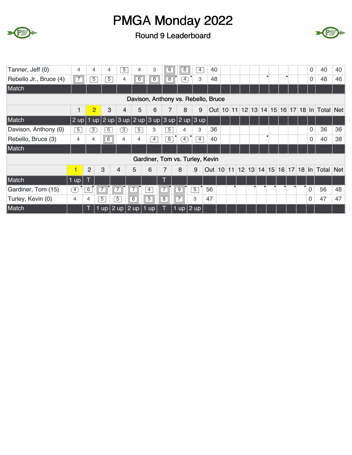



| Tanner, Jeff (0)       | 4              | 4              | 4              | $\overline{5}$        | 4              | 3              | $\overline{6}$                        | 6                | $\overline{4}$ | 40 |  |  |  |  |           | 0              | 40                                          | 40 |
|------------------------|----------------|----------------|----------------|-----------------------|----------------|----------------|---------------------------------------|------------------|----------------|----|--|--|--|--|-----------|----------------|---------------------------------------------|----|
| Rebello Jr., Bruce (4) | $\sqrt{7}$     | $\overline{5}$ | $\overline{5}$ | 4                     | $\overline{6}$ | $\overline{6}$ | $\overline{8}$                        | $\mathcal{F}$    | 3              | 48 |  |  |  |  |           | 0              | 48                                          | 46 |
| Match                  |                |                |                |                       |                |                |                                       |                  |                |    |  |  |  |  |           |                |                                             |    |
|                        |                |                |                |                       |                |                | Davison, Anthony vs. Rebello, Bruce   |                  |                |    |  |  |  |  |           |                |                                             |    |
|                        | 1              | $\overline{2}$ | 3              | $\overline{4}$        | 5              | 6              | 7                                     | 8                | 9              |    |  |  |  |  |           |                | Out 10 11 12 13 14 15 16 17 18 In Total Net |    |
| Match                  | $2$ up   1     |                |                |                       |                |                | up 2 up 3 up 2 up 3 up 3 up 2 up 3 up |                  |                |    |  |  |  |  |           |                |                                             |    |
| Davison, Anthony (0)   | $\overline{5}$ | 3              | $\overline{5}$ | 3                     | $\overline{5}$ | 3              | $\overline{5}$                        | 4                | 3              | 36 |  |  |  |  |           | 0              | 36                                          | 36 |
| Rebello, Bruce (3)     | 4              | 4              | $\boxed{6}$    | 4                     | $\overline{4}$ | $\overline{4}$ | 6                                     | $\left(4\right)$ | $\overline{4}$ | 40 |  |  |  |  |           | $\Omega$       | 40                                          | 38 |
| Match                  |                |                |                |                       |                |                |                                       |                  |                |    |  |  |  |  |           |                |                                             |    |
|                        |                |                |                |                       |                |                | Gardiner, Tom vs. Turley, Kevin       |                  |                |    |  |  |  |  |           |                |                                             |    |
|                        | 1              | $\overline{2}$ | 3              | 4                     | 5              | 6              | 7                                     | 8                | 9              |    |  |  |  |  |           |                | Out 10 11 12 13 14 15 16 17 18 In Total Net |    |
| Match                  | 1 up           |                |                |                       |                |                |                                       |                  |                |    |  |  |  |  |           |                |                                             |    |
| Gardiner, Tom (15)     | $\boxed{4}$    | 6              |                |                       |                | $\overline{4}$ |                                       | $\overline{9}$   | $\overline{5}$ | 56 |  |  |  |  | $\bullet$ | $\overline{0}$ | 56                                          | 48 |
| Turley, Kevin (0)      | 4              | 4              | $\overline{5}$ | 5                     | 6              | $\sqrt{5}$     | $\overline{8}$                        | $\sqrt{7}$       | 3              | 47 |  |  |  |  |           | 0              | 47                                          | 47 |
| Match                  |                | Τ              |                | $1$ up 2 up 2 up 1 up |                |                |                                       | 1 up $2$ up      |                |    |  |  |  |  |           |                |                                             |    |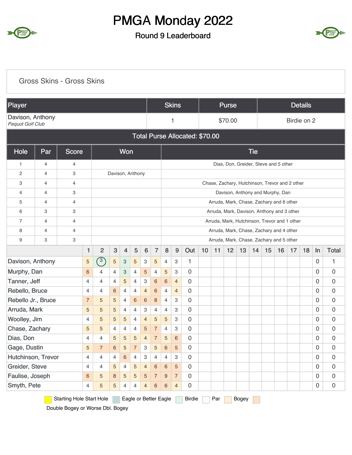

#### Round 9 Leaderboard



#### Starting Hole Start Hole Eagle or Better Eagle Birdie Par Bogey Gross Skins - Gross Skins Player Skins Purse Details Davison, Anthony<br>Pequot Golf Club **Pequot Golf Club Pequot Golf Club 1 1** \$70.00 **Birdie on 2** Total Purse Allocated: \$70.00 Hole Par Score Won Tie 1 4 4 4 4 **Dias, Don, Greider, Steve and 5 other** 2 4 3 Davison, Anthony 3 4 4 Chase, Zachary, Hutchinson, Trevor and 2 other 4 4 3 Davison, Anthony and Murphy, Dan 5 4 4 4 H Arruda, Mark, Chase, Zachary and 6 other 6 3 3 Arruda, Mark, Davison, Anthony and 3 other 7 4 4 Arruda, Mark, Hutchinson, Trevor and 1 other 8 4 4 4 Hz 3 Arruda, Mark, Chase, Zachary and 4 other 9 3 3 3 3 3 **3 Arruda, Mark, Chase, Zachary and 5 other** 1 2 3 4 5 6 7 8 9 Out 10 11 12 13 14 15 16 17 18 In Total Davison, Anthony 1 0 1 Murphy, Dan <mark>6</mark> 4 4 3 4 <mark>5</mark> 4 <mark>5 3 0 0 0</mark> Tanner, Jeff 0 0 0 Rebello, Bruce 0 0 0 Rebello Jr., Bruce 7 5 5 4 6 6 8 4 3 0 1 1 1 0 0 Arruda, Mark 0 0 0 Woolley, Jim 0 0 0 Chase, Zachary 0 0 0 Dias, Don 0 0 0 Gage, Dustin 5 7 6 5 7 3 5 6 5 0 1 1 1 0 0 Hutchinson, Trevor 0 0 0 Greider, Steve 0 0 0 Faulise, Joseph 0 0 0 Smyth, Pete 0 0 0  $\left( \overline{3}\right)$ 6 4 4 3 4 5 4 5 3 4 4 4 5 4 3 6 6 4 4 4 6 4 4 4 6 4 4 7 5 5 4 6 6 8 4 3  $5$  5  $5$  4 4 3 4 4 3 4 5 5 5 4 4 5 5 3 5 5 4 4 4 5 7 4 3 4 4 5 5 5 4 7 5 6 5 7 6 5 7 3 5 6 5 4 | 4 | 4 | 6 | 4 | 3 | 4 | 4 | 3 4 4 5 4 5 4 6 6 5 6 5 8 5 5 5 7 9 7 4 5 5 4 4 4 6 6 4

Double Bogey or Worse Dbl. Bogey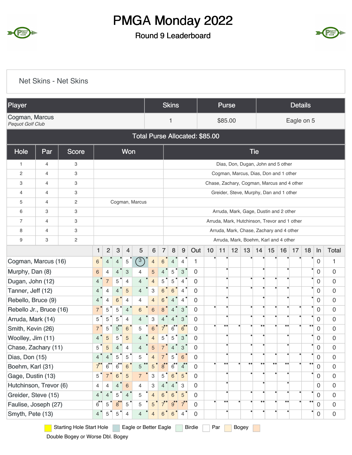

#### Round 9 Leaderboard



|                                    |                | <b>Net Skins - Net Skins</b> |                      |                |                           |                           |                                |                           |                |                |                           |                  |                 |                  |    |                   |                  |                  |                                              |                |                  |                  |                     |
|------------------------------------|----------------|------------------------------|----------------------|----------------|---------------------------|---------------------------|--------------------------------|---------------------------|----------------|----------------|---------------------------|------------------|-----------------|------------------|----|-------------------|------------------|------------------|----------------------------------------------|----------------|------------------|------------------|---------------------|
| Player                             |                |                              |                      |                |                           |                           |                                |                           |                | <b>Skins</b>   |                           |                  |                 | <b>Purse</b>     |    |                   |                  |                  |                                              | <b>Details</b> |                  |                  |                     |
| Cogman, Marcus<br>Pequot Golf Club |                |                              |                      |                |                           |                           |                                |                           |                | 1              |                           |                  |                 | \$85.00          |    |                   |                  |                  |                                              |                | Eagle on 5       |                  |                     |
|                                    |                |                              |                      |                |                           |                           | Total Purse Allocated: \$85.00 |                           |                |                |                           |                  |                 |                  |    |                   |                  |                  |                                              |                |                  |                  |                     |
| Hole                               | Par            | <b>Score</b>                 |                      |                |                           | Won                       |                                |                           |                |                |                           |                  |                 |                  |    |                   | <b>Tie</b>       |                  |                                              |                |                  |                  |                     |
| 1                                  | $\overline{4}$ | 3                            |                      |                |                           |                           |                                |                           |                |                |                           |                  |                 |                  |    |                   |                  |                  | Dias, Don, Dugan, John and 5 other           |                |                  |                  |                     |
| $\mathbf{2}$                       | $\overline{4}$ | 3                            |                      |                |                           |                           |                                |                           |                |                |                           |                  |                 |                  |    |                   |                  |                  | Cogman, Marcus, Dias, Don and 1 other        |                |                  |                  |                     |
| 3                                  | $\overline{4}$ | 3                            |                      |                |                           |                           |                                |                           |                |                |                           |                  |                 |                  |    |                   |                  |                  | Chase, Zachary, Cogman, Marcus and 4 other   |                |                  |                  |                     |
| 4                                  | $\overline{4}$ | 3                            |                      |                |                           |                           |                                |                           |                |                |                           |                  |                 |                  |    |                   |                  |                  | Greider, Steve, Murphy, Dan and 1 other      |                |                  |                  |                     |
| 5                                  | $\overline{4}$ | $\mathbf{2}$                 |                      |                |                           |                           | Cogman, Marcus                 |                           |                |                |                           |                  |                 |                  |    |                   |                  |                  |                                              |                |                  |                  |                     |
| 6                                  | 3              | 3                            |                      |                |                           |                           |                                |                           |                |                |                           |                  |                 |                  |    |                   |                  |                  | Arruda, Mark, Gage, Dustin and 2 other       |                |                  |                  |                     |
| $\overline{7}$                     | $\overline{4}$ | 3                            |                      |                |                           |                           |                                |                           |                |                |                           |                  |                 |                  |    |                   |                  |                  | Arruda, Mark, Hutchinson, Trevor and 1 other |                |                  |                  |                     |
| 8                                  | $\overline{4}$ | 3                            |                      |                |                           |                           |                                |                           |                |                |                           |                  |                 |                  |    |                   |                  |                  | Arruda, Mark, Chase, Zachary and 4 other     |                |                  |                  |                     |
| 9                                  | 3              | $\mathbf{2}$                 |                      |                |                           |                           |                                |                           |                |                |                           |                  |                 |                  |    |                   |                  |                  | Arruda, Mark, Boehm, Karl and 4 other        |                |                  |                  |                     |
|                                    |                |                              | $\mathbf{1}$         | $\overline{2}$ | $\ensuremath{\mathsf{3}}$ | 4                         | 5                              | $\bf 6$                   | 7              | 8              | 9                         | Out              | 10 <sup>1</sup> | 11               | 12 | 13                | 14               | 15               | 16                                           | 17             | 18               | In               | <b>Total</b>        |
| Cogman, Marcus (16)                |                |                              | 6                    | $\overline{4}$ | $\overline{4}$            | $\sqrt{5}$                | $\binom{3}{ }$                 | $\overline{4}$            | 6 <sup>1</sup> | $\overline{4}$ | $\overline{4}$            | 1                |                 |                  |    |                   |                  |                  |                                              |                |                  | $\mathbf 0$      | 1                   |
| Murphy, Dan (8)                    |                |                              | 6                    | $\overline{4}$ | 4                         | $\ensuremath{\mathsf{3}}$ | 4                              | 5                         | 4              | 5              | $\mathbf{3}$              | 0                |                 |                  |    |                   |                  |                  |                                              |                |                  | $\overline{0}$   | 0                   |
| Dugan, John (12)                   |                |                              | 4 <sup>°</sup>       | $\overline{7}$ | 5                         | $\overline{4}$            | $\overline{4}$                 | $\overline{4}$            | 5              | 5              | $\overline{4}$            | $\Omega$         |                 | $\bullet$        |    |                   |                  |                  |                                              |                |                  | $\mathbf 0$      | $\mathbf 0$         |
| Tanner, Jeff (12)                  |                |                              | 4                    | $\overline{4}$ | $\overline{4}$            | $\overline{5}$            | $\overline{4}$                 | $\ensuremath{\mathsf{3}}$ | 6 <sup>o</sup> | 6              | $\overline{4}$            | 0                |                 | $\bullet$        |    |                   |                  |                  |                                              |                | $\bullet$        | $\overline{0}$   | $\mathbf 0$         |
| Rebello, Bruce (9)                 |                |                              | 4                    | $\overline{4}$ | 6                         | 4                         | 4                              | $\overline{4}$            | 6              | 4              | 4                         | 0                |                 |                  |    |                   |                  |                  |                                              |                | ٠                | 0                | 0                   |
| Rebello Jr., Bruce (16)            |                |                              | $7^{\degree}$        | 5              | 5                         | $\overline{4}$            | $6\phantom{a}$                 | 6                         |                |                | 3                         | 0                |                 | $\bullet$        |    |                   |                  |                  |                                              |                | ٠                | $\mathbf 0$      | 0                   |
| Arruda, Mark (14)                  |                |                              | $5^{\degree}$        | 5              | 5                         | 4                         | 4                              | 3                         |                |                | 3                         | 0                |                 |                  |    |                   |                  |                  |                                              |                |                  | $\mathbf 0$      | $\mathbf 0$         |
| Smith, Kevin (26)                  |                |                              | 7 <sup>°</sup>       | 5              | $5^{\circ}$               | $\,6$                     | 5                              | 6                         | $7^\circ$      | $6^{\circ}$    | $6^{\circ}$               | 0                |                 |                  |    |                   |                  |                  |                                              |                | $\bullet\bullet$ | 0                | $\boldsymbol{0}$    |
| Woolley, Jim (11)                  |                |                              | 4 <sup>°</sup>       | $\overline{5}$ | 5                         | 5                         | $\overline{4}$                 | $\overline{4}$            | 5              | 5              | $\ensuremath{\mathsf{3}}$ | 0                |                 |                  |    |                   |                  |                  |                                              |                |                  | $\overline{0}$   | $\boldsymbol{0}$    |
| Chase, Zachary (11)                |                |                              | $5^{\degree}$        | 5              | $\overline{4}$            | $\overline{\mathbf{4}}$   | $\overline{4}$                 | 5                         |                | 4              | $\ensuremath{\mathsf{3}}$ | $\mathbf 0$      |                 |                  |    |                   |                  |                  |                                              |                | $\bullet$        | $\overline{0}$   | $\mathsf{O}\xspace$ |
| Dias, Don (15)                     |                |                              | 4 <sup>°</sup>       | $\overline{4}$ | 5                         | 5                         | 5                              | $\overline{4}$            | $\overline{7}$ | 5              | 6                         | $\Omega$         |                 |                  |    |                   |                  |                  |                                              |                |                  | $\mathbf 0$      | $\boldsymbol{0}$    |
| Boehm, Karl (31)                   |                |                              | $7^{\bullet}$        | $\overline{6}$ | $\overline{6}$            | $\,6\,$                   | $\bullet\bullet$<br>5          | 5                         | 8 <sup>°</sup> | $\overline{6}$ | $4^{\circ}$               | $\boldsymbol{0}$ |                 | $\bullet\bullet$ |    | $\bullet \bullet$ | $\bullet\bullet$ | $\bullet\bullet$ | $\bullet$                                    |                | $\bullet\bullet$ | $\boldsymbol{0}$ | $\mathbf 0$         |
| Gage, Dustin (13)                  |                |                              | 5 <sup>°</sup>       | 7 <sup>°</sup> | 6                         | $\sqrt{5}$                | $\overline{7}$                 | 3                         | 5              | 6              | 5                         | 0                |                 |                  |    |                   |                  |                  |                                              |                |                  | $\overline{0}$   | $\mathsf{O}\xspace$ |
| Hutchinson, Trevor (6)             |                |                              | 4                    | $\overline{4}$ | 4                         | $\,$ 6 $\,$               | $\overline{4}$                 | 3                         | $\overline{4}$ | 4              | 3                         | 0                |                 |                  |    |                   |                  |                  |                                              |                |                  | $\mathbf 0$      | $\boldsymbol{0}$    |
| Greider, Steve (15)                |                |                              | 4 <sup>°</sup>       | $4^{\bullet}$  | 5                         | $\overline{4}$            | 5                              | $\overline{4}$            | 6              | 6              | 5 <sup>′</sup>            | 0                |                 | ٠                |    |                   |                  |                  |                                              |                |                  | $\mathbf 0$      | $\mathsf{O}\xspace$ |
| Faulise, Joseph (27)               |                |                              | $6^{\bullet\bullet}$ | 5              | 8 <sup>°</sup>            | 5                         | 5                              | 5                         | $7^\circ$      | $9^{\degree}$  | $7^{\circ}$               | $\mathbf 0$      |                 | $\bullet\bullet$ |    |                   | $\bullet\bullet$ |                  | $\bullet$                                    |                | $\bullet\bullet$ | $\mathbf 0$      | $\boldsymbol{0}$    |
| Smyth, Pete (13)                   |                |                              | 4 <sup>°</sup>       | $\mathbf 5$    | 5                         | 4                         | 4                              | $\overline{4}$            | 6              | 6              | $\overline{4}$            | 0                |                 |                  |    |                   |                  |                  |                                              |                |                  | $\boldsymbol{0}$ | $\mathsf{O}\xspace$ |

Starting Hole Start Hole Eagle or Better Eagle Birdie Par Bogey

Double Bogey or Worse Dbl. Bogey